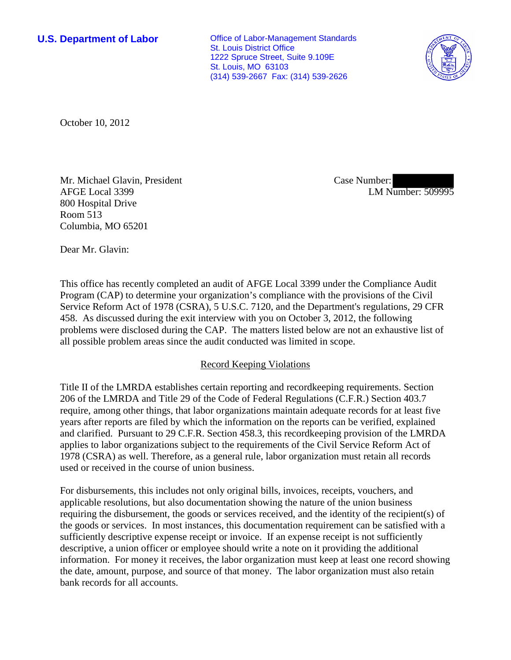**U.S. Department of Labor Conservative Conservative Conservative Conservative Conservative Conservative Conservative Conservative Conservative Conservative Conservative Conservative Conservative Conservative Conservative** St. Louis District Office 1222 Spruce Street, Suite 9.109E St. Louis, MO 63103 (314) 539-2667 Fax: (314) 539-2626



October 10, 2012

Mr. Michael Glavin, President AFGE Local 3399 800 Hospital Drive Room 513 Columbia, MO 65201

Case Number: LM Number: 509995

Dear Mr. Glavin:

This office has recently completed an audit of AFGE Local 3399 under the Compliance Audit Program (CAP) to determine your organization's compliance with the provisions of the Civil Service Reform Act of 1978 (CSRA), 5 U.S.C. 7120, and the Department's regulations, 29 CFR 458. As discussed during the exit interview with you on October 3, 2012, the following problems were disclosed during the CAP. The matters listed below are not an exhaustive list of all possible problem areas since the audit conducted was limited in scope.

## Record Keeping Violations

Title II of the LMRDA establishes certain reporting and recordkeeping requirements. Section 206 of the LMRDA and Title 29 of the Code of Federal Regulations (C.F.R.) Section 403.7 require, among other things, that labor organizations maintain adequate records for at least five years after reports are filed by which the information on the reports can be verified, explained and clarified. Pursuant to 29 C.F.R. Section 458.3, this recordkeeping provision of the LMRDA applies to labor organizations subject to the requirements of the Civil Service Reform Act of 1978 (CSRA) as well. Therefore, as a general rule, labor organization must retain all records used or received in the course of union business.

For disbursements, this includes not only original bills, invoices, receipts, vouchers, and applicable resolutions, but also documentation showing the nature of the union business requiring the disbursement, the goods or services received, and the identity of the recipient(s) of the goods or services. In most instances, this documentation requirement can be satisfied with a sufficiently descriptive expense receipt or invoice. If an expense receipt is not sufficiently descriptive, a union officer or employee should write a note on it providing the additional information. For money it receives, the labor organization must keep at least one record showing the date, amount, purpose, and source of that money. The labor organization must also retain bank records for all accounts.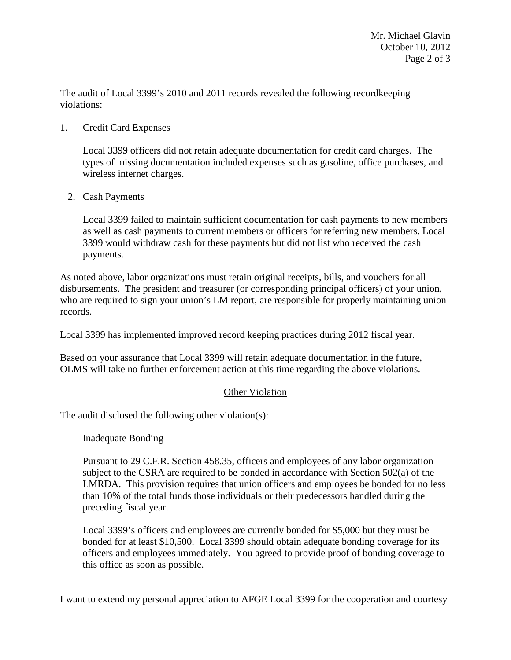The audit of Local 3399's 2010 and 2011 records revealed the following recordkeeping violations:

## 1. Credit Card Expenses

Local 3399 officers did not retain adequate documentation for credit card charges. The types of missing documentation included expenses such as gasoline, office purchases, and wireless internet charges.

## 2. Cash Payments

Local 3399 failed to maintain sufficient documentation for cash payments to new members as well as cash payments to current members or officers for referring new members. Local 3399 would withdraw cash for these payments but did not list who received the cash payments.

As noted above, labor organizations must retain original receipts, bills, and vouchers for all disbursements. The president and treasurer (or corresponding principal officers) of your union, who are required to sign your union's LM report, are responsible for properly maintaining union records.

Local 3399 has implemented improved record keeping practices during 2012 fiscal year.

Based on your assurance that Local 3399 will retain adequate documentation in the future, OLMS will take no further enforcement action at this time regarding the above violations.

## Other Violation

The audit disclosed the following other violation(s):

Inadequate Bonding

Pursuant to 29 C.F.R. Section 458.35, officers and employees of any labor organization subject to the CSRA are required to be bonded in accordance with Section 502(a) of the LMRDA. This provision requires that union officers and employees be bonded for no less than 10% of the total funds those individuals or their predecessors handled during the preceding fiscal year.

Local 3399's officers and employees are currently bonded for \$5,000 but they must be bonded for at least \$10,500. Local 3399 should obtain adequate bonding coverage for its officers and employees immediately. You agreed to provide proof of bonding coverage to this office as soon as possible.

I want to extend my personal appreciation to AFGE Local 3399 for the cooperation and courtesy